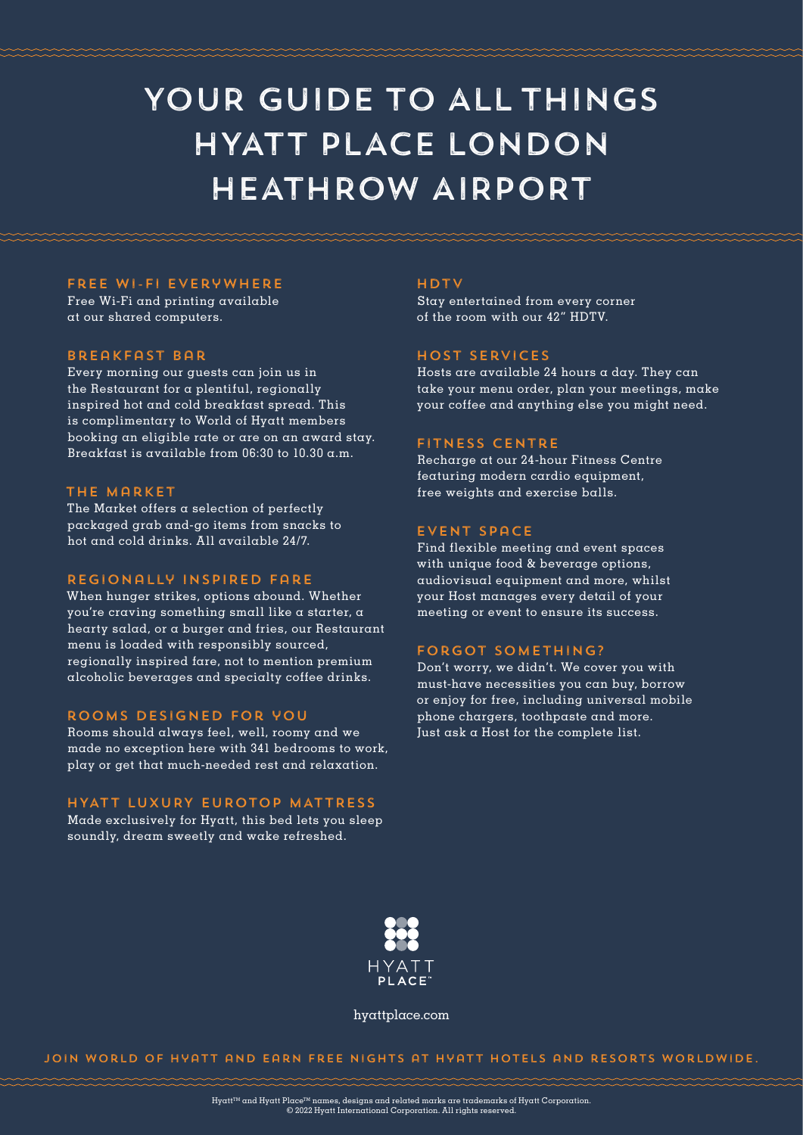# YOUR GUIDE TO ALL THINGS HYATT PLACE LONDON HEATHROW AIRPORT

#### Free Wi-Fi Everywhere

Free Wi-Fi and printing available at our shared computers.

#### breakfast bar

Every morning our guests can join us in the Restaurant for a plentiful, regionally inspired hot and cold breakfast spread. This is complimentary to World of Hyatt members booking an eligible rate or are on an award stay. Breakfast is available from 06:30 to 10.30  $\alpha$ .m.

#### The Market

The Market offers a selection of perfectly packaged grab and-go items from snacks to hot and cold drinks. All available 24/7.

#### Regionally INSPIRED fare

When hunger strikes, options abound. Whether you're craving something small like a starter, a hearty salad, or a burger and fries, our Restaurant menu is loaded with responsibly sourced, regionally inspired fare, not to mention premium alcoholic beverages and specialty coffee drinks.

#### rooms designed for you

Rooms should always feel, well, roomy and we made no exception here with 341 bedrooms to work, play or get that much-needed rest and relaxation.

#### HYATT LUXURY EUROTOP MATTRESS

Made exclusively for Hyatt, this bed lets you sleep soundly, dream sweetly and wake refreshed.

#### hdtv

Stay entertained from every corner of the room with our 42" HDTV.

#### Host services

Hosts are available 24 hours a day. They can take your menu order, plan your meetings, make your coffee and anything else you might need.

#### fitness centre

Recharge at our 24-hour Fitness Centre featuring modern cardio equipment, free weights and exercise balls.

#### event space

Find flexible meeting and event spaces with unique food & beverage options, audiovisual equipment and more, whilst your Host manages every detail of your meeting or event to ensure its success.

#### forgot something?

Don't worry, we didn't. We cover you with must-have necessities you can buy, borrow or enjoy for free, including universal mobile phone chargers, toothpaste and more. Just ask a Host for the complete list.



hyattplace.com

Join World of Hyatt and earn free nights at Hyatt hotels and resorts worldwide.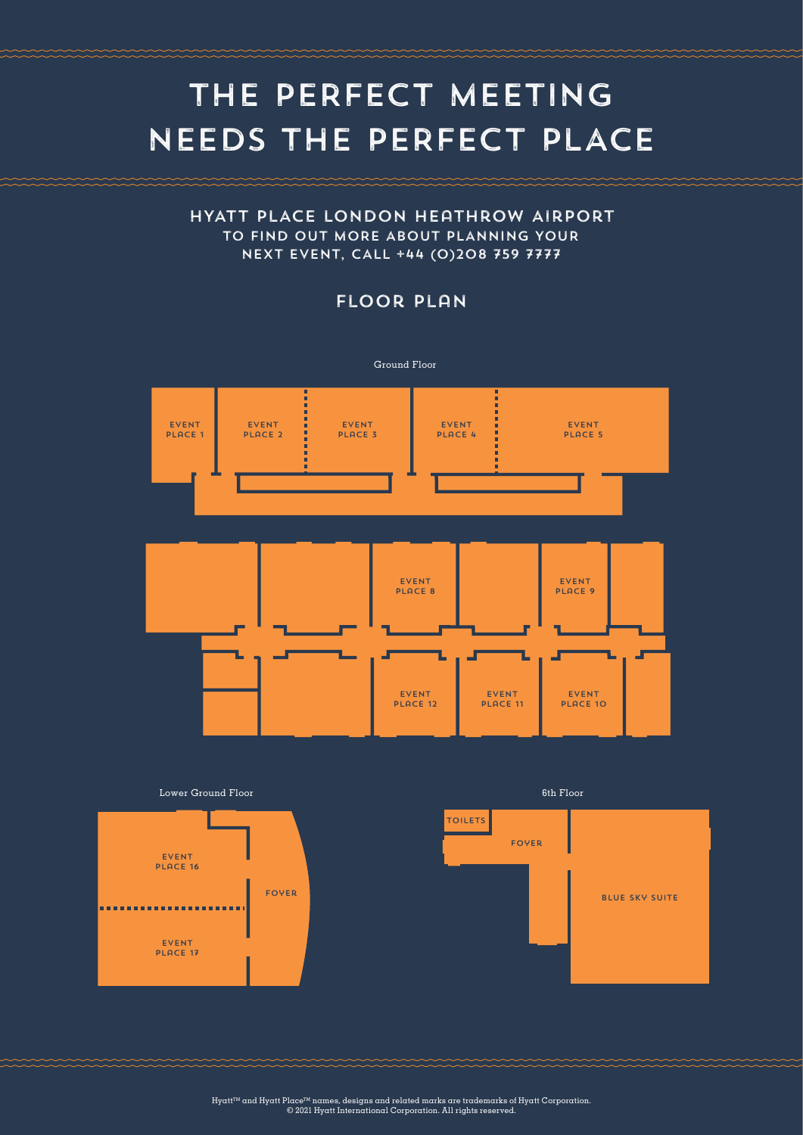# THE PERFECT MEETING NEEDS THE PERFECT PLACE

### HYATT PLACE LONDON HEATHROW AIRPORT TO FIND OUT MORE ABOUT PLANNING YOUR NEXT EVENT, CALL +44 (0)208 759 7777

## FLOOR PLAN





Lower Ground Floor